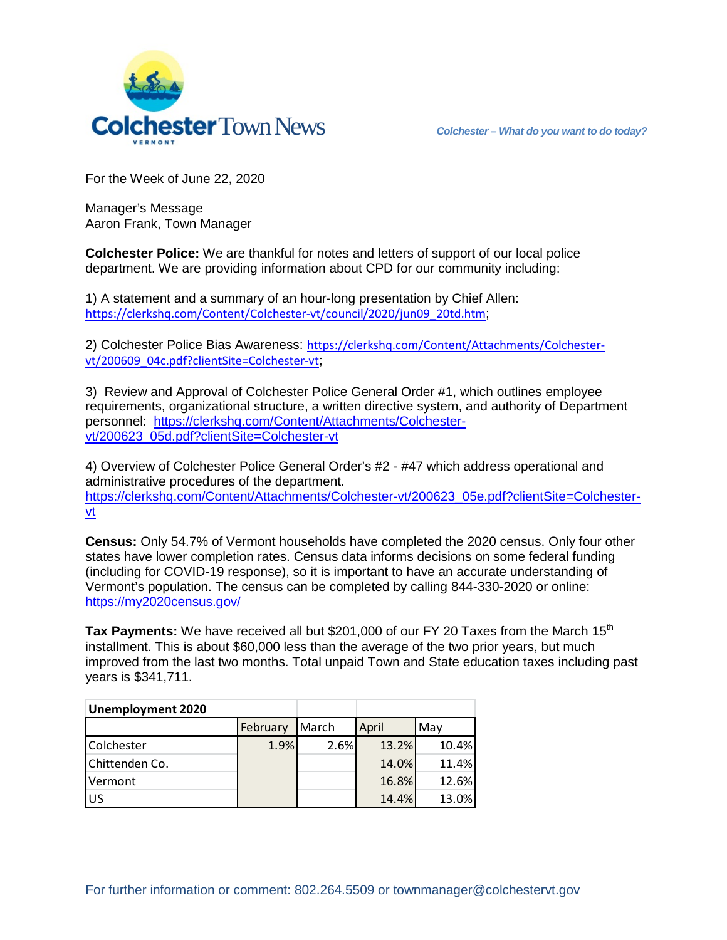

For the Week of June 22, 2020

Manager's Message Aaron Frank, Town Manager

**Colchester Police:** We are thankful for notes and letters of support of our local police department. We are providing information about CPD for our community including:

1) A statement and a summary of an hour-long presentation by Chief Allen: [https://clerkshq.com/Content/Colchester-vt/council/2020/jun09\\_20td.htm](https://clerkshq.com/Content/Colchester-vt/council/2020/jun09_20td.htm);

2) Colchester Police Bias Awareness: [https://clerkshq.com/Content/Attachments/Colchester](https://clerkshq.com/Content/Attachments/Colchester-vt/200609_04c.pdf?clientSite=Colchester-vt)[vt/200609\\_04c.pdf?clientSite=Colchester-vt](https://clerkshq.com/Content/Attachments/Colchester-vt/200609_04c.pdf?clientSite=Colchester-vt);

3) Review and Approval of Colchester Police General Order #1, which outlines employee requirements, organizational structure, a written directive system, and authority of Department personnel: [https://clerkshq.com/Content/Attachments/Colchester](https://clerkshq.com/Content/Attachments/Colchester-vt/200623_05d.pdf?clientSite=Colchester-vt)[vt/200623\\_05d.pdf?clientSite=Colchester-vt](https://clerkshq.com/Content/Attachments/Colchester-vt/200623_05d.pdf?clientSite=Colchester-vt)

4) Overview of Colchester Police General Order's #2 - #47 which address operational and administrative procedures of the department. [https://clerkshq.com/Content/Attachments/Colchester-vt/200623\\_05e.pdf?clientSite=Colchester](https://clerkshq.com/Content/Attachments/Colchester-vt/200623_05e.pdf?clientSite=Colchester-vt)[vt](https://clerkshq.com/Content/Attachments/Colchester-vt/200623_05e.pdf?clientSite=Colchester-vt)

**Census:** Only 54.7% of Vermont households have completed the 2020 census. Only four other states have lower completion rates. Census data informs decisions on some federal funding (including for COVID-19 response), so it is important to have an accurate understanding of Vermont's population. The census can be completed by calling 844-330-2020 or online: <https://my2020census.gov/>

**Tax Payments:** We have received all but \$201,000 of our FY 20 Taxes from the March 15<sup>th</sup> installment. This is about \$60,000 less than the average of the two prior years, but much improved from the last two months. Total unpaid Town and State education taxes including past years is \$341,711.

| <b>Unemployment 2020</b> |  |          |         |              |       |
|--------------------------|--|----------|---------|--------------|-------|
|                          |  | February | March   | <b>April</b> | Mav   |
| Colchester               |  | 1.9%     | $2.6\%$ | 13.2%        | 10.4% |
| Chittenden Co.           |  |          |         | 14.0%        | 11.4% |
| Vermont                  |  |          |         | 16.8%        | 12.6% |
| US                       |  |          |         | 14.4%        | 13.0% |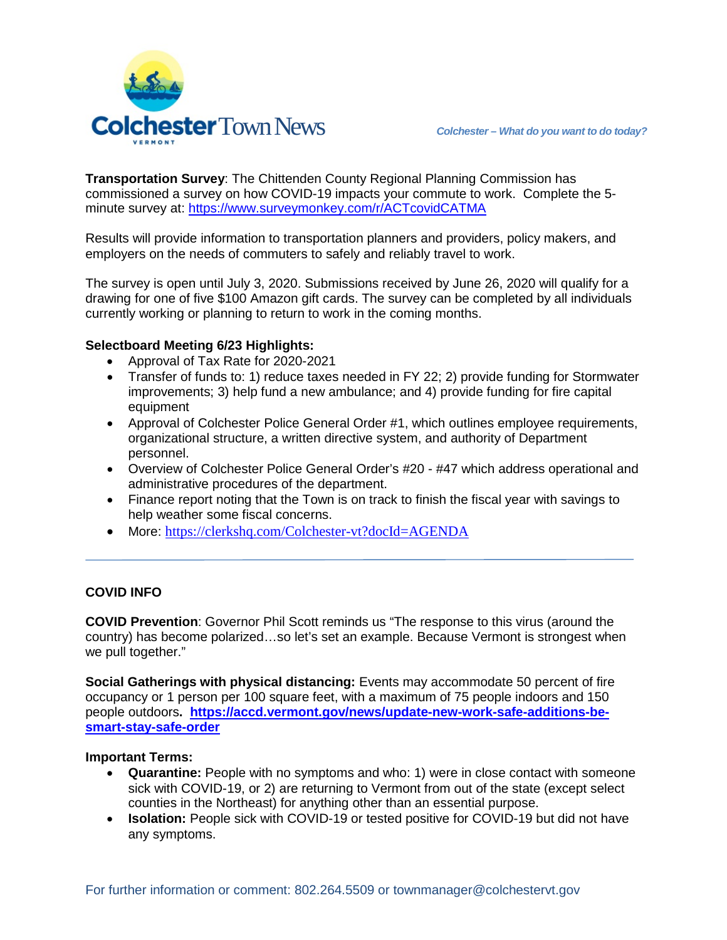

**Transportation Survey**: The Chittenden County Regional Planning Commission has commissioned a survey on how COVID-19 impacts your commute to work. Complete the 5 minute survey at:<https://www.surveymonkey.com/r/ACTcovidCATMA>

Results will provide information to transportation planners and providers, policy makers, and employers on the needs of commuters to safely and reliably travel to work.

The survey is open until July 3, 2020. Submissions received by June 26, 2020 will qualify for a drawing for one of five \$100 Amazon gift cards. The survey can be completed by all individuals currently working or planning to return to work in the coming months.

## **Selectboard Meeting 6/23 Highlights:**

- Approval of Tax Rate for 2020-2021
- Transfer of funds to: 1) reduce taxes needed in FY 22; 2) provide funding for Stormwater improvements; 3) help fund a new ambulance; and 4) provide funding for fire capital equipment
- Approval of Colchester Police General Order #1, which outlines employee requirements, organizational structure, a written directive system, and authority of Department personnel.
- Overview of Colchester Police General Order's #20 #47 which address operational and administrative procedures of the department.
- Finance report noting that the Town is on track to finish the fiscal year with savings to help weather some fiscal concerns.
- More: <https://clerkshq.com/Colchester-vt?docId=AGENDA>

## **COVID INFO**

**COVID Prevention**: Governor Phil Scott reminds us "The response to this virus (around the country) has become polarized…so let's set an example. Because Vermont is strongest when we pull together."

**Social Gatherings with physical distancing:** Events may accommodate 50 percent of fire occupancy or 1 person per 100 square feet, with a maximum of 75 people indoors and 150 people outdoors**. [https://accd.vermont.gov/news/update-new-work-safe-additions-be](https://accd.vermont.gov/news/update-new-work-safe-additions-be-smart-stay-safe-order)[smart-stay-safe-order](https://accd.vermont.gov/news/update-new-work-safe-additions-be-smart-stay-safe-order)**

## **Important Terms:**

- **Quarantine:** People with no symptoms and who: 1) were in close contact with someone sick with COVID-19, or 2) are returning to Vermont from out of the state (except select counties in the Northeast) for anything other than an essential purpose.
- **Isolation:** People sick with COVID-19 or tested positive for COVID-19 but did not have any symptoms.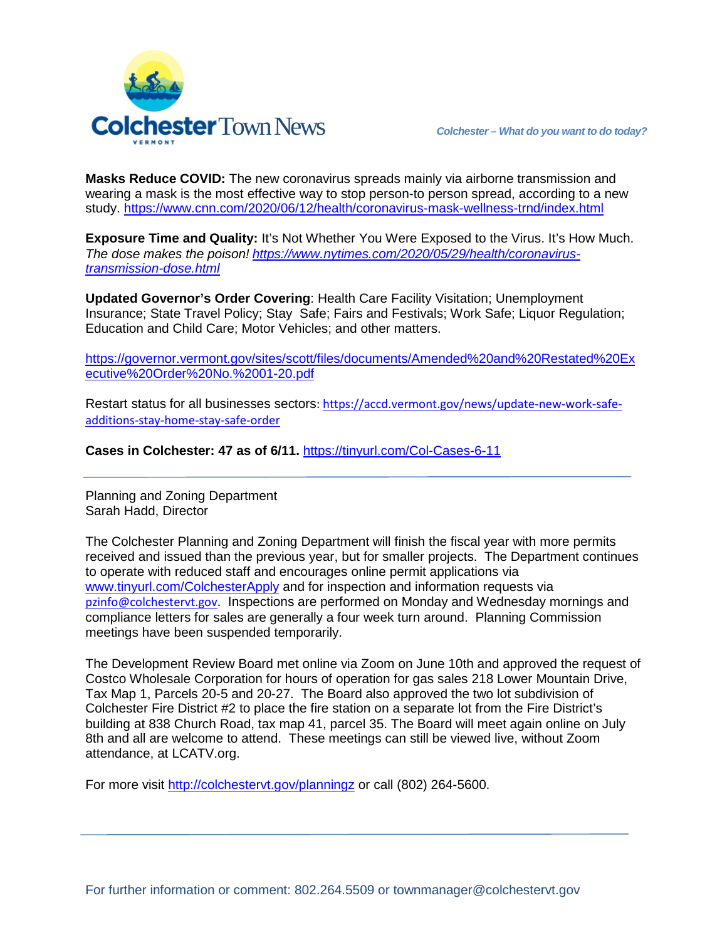

**Masks Reduce COVID:** The new coronavirus spreads mainly via airborne transmission and wearing a mask is the most effective way to stop person-to person spread, according to a new study. <https://www.cnn.com/2020/06/12/health/coronavirus-mask-wellness-trnd/index.html>

**Exposure Time and Quality:** It's Not Whether You Were Exposed to the Virus. It's How Much. *The dose makes the poison! [https://www.nytimes.com/2020/05/29/health/coronavirus](https://www.nytimes.com/2020/05/29/health/coronavirus-transmission-dose.html)[transmission-dose.html](https://www.nytimes.com/2020/05/29/health/coronavirus-transmission-dose.html)*

**Updated Governor's Order Covering**: Health Care Facility Visitation; Unemployment Insurance; State Travel Policy; Stay Safe; Fairs and Festivals; Work Safe; Liquor Regulation; Education and Child Care; Motor Vehicles; and other matters.

[https://governor.vermont.gov/sites/scott/files/documents/Amended%20and%20Restated%20Ex](https://governor.vermont.gov/sites/scott/files/documents/Amended%20and%20Restated%20Executive%20Order%20No.%2001-20.pdf) [ecutive%20Order%20No.%2001-20.pdf](https://governor.vermont.gov/sites/scott/files/documents/Amended%20and%20Restated%20Executive%20Order%20No.%2001-20.pdf)

Restart status for all businesses sectors: [https://accd.vermont.gov/news/update-new-work-safe](https://accd.vermont.gov/news/update-new-work-safe-additions-stay-home-stay-safe-order)[additions-stay-home-stay-safe-order](https://accd.vermont.gov/news/update-new-work-safe-additions-stay-home-stay-safe-order)

**Cases in Colchester: 47 as of 6/11.** <https://tinyurl.com/Col-Cases-6-11>

Planning and Zoning Department Sarah Hadd, Director

The Colchester Planning and Zoning Department will finish the fiscal year with more permits received and issued than the previous year, but for smaller projects. The Department continues to operate with reduced staff and encourages online permit applications via [www.tinyurl.com/ColchesterApply](http://www.tinyurl.com/ColchesterApply) and for inspection and information requests via [pzinfo@colchestervt.gov](mailto:pzinfo@colchestervt.gov). Inspections are performed on Monday and Wednesday mornings and compliance letters for sales are generally a four week turn around. Planning Commission meetings have been suspended temporarily.

The Development Review Board met online via Zoom on June 10th and approved the request of Costco Wholesale Corporation for hours of operation for gas sales 218 Lower Mountain Drive, Tax Map 1, Parcels 20-5 and 20-27. The Board also approved the two lot subdivision of Colchester Fire District #2 to place the fire station on a separate lot from the Fire District's building at 838 Church Road, tax map 41, parcel 35. The Board will meet again online on July 8th and all are welcome to attend. These meetings can still be viewed live, without Zoom attendance, at LCATV.org.

For more visit<http://colchestervt.gov/planningz> or call (802) 264-5600.